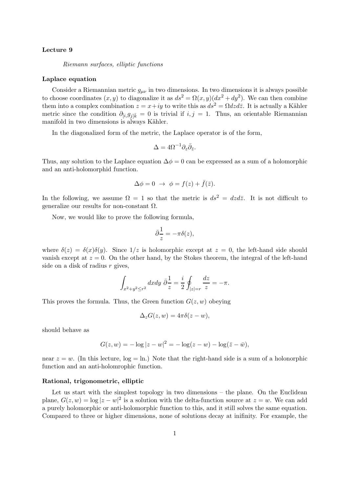### Lecture 9

Riemann surfaces, elliptic functions

### Laplace equation

Consider a Riemannian metric  $g_{\mu\nu}$  in two dimensions. In two dimensions it is always possible to choose coordinates  $(x, y)$  to diagonalize it as  $ds^2 = \Omega(x, y)(dx^2 + dy^2)$ . We can then combine them into a complex combination  $z = x+iy$  to write this as  $ds^2 = \Omega dz d\overline{z}$ . It is actually a Kähler metric since the condition  $\partial_{[i,1]}g_{j|\bar{k}}=0$  is trivial if  $i, j = 1$ . Thus, an orientable Riemannian manifold in two dimensions is always Kähler.

In the diagonalized form of the metric, the Laplace operator is of the form,

$$
\Delta = 4\Omega^{-1}\partial_z\bar{\partial}_{\bar{z}}.
$$

Thus, any solution to the Laplace equation  $\Delta \phi = 0$  can be expressed as a sum of a holomorphic and an anti-holomorphid function.

$$
\Delta \phi = 0 \ \to \ \phi = f(z) + \bar{f}(\bar{z}).
$$

In the following, we assume  $\Omega = 1$  so that the metric is  $ds^2 = dz d\overline{z}$ . It is not difficult to generalize our results for non-constant Ω.

Now, we would like to prove the following formula,

$$
\bar{\partial}\frac{1}{z} = -\pi \delta(z),
$$

where  $\delta(z) = \delta(x)\delta(y)$ . Since  $1/z$  is holomorphic except at  $z = 0$ , the left-hand side should vanish except at  $z = 0$ . On the other hand, by the Stokes theorem, the integral of the left-hand side on a disk of radius  $r$  gives,

$$
\int_{x^2+y^2\leq r^2}dxdy\ \bar\partial\frac{1}{z}=\frac{i}{2}\oint_{|z|=r}\frac{dz}{z}=-\pi.
$$

This proves the formula. Thus, the Green function  $G(z, w)$  obeying

$$
\Delta_z G(z, w) = 4\pi \delta(z - w),
$$

should behave as

$$
G(z, w) = -\log|z - w|^2 = -\log(z - w) - \log(\bar{z} - \bar{w}),
$$

near  $z = w$ . (In this lecture,  $log = \ln$ .) Note that the right-hand side is a sum of a holonorphic function and an anti-holomrophic function.

#### Rational, trigonometric, elliptic

Let us start with the simplest topology in two dimensions – the plane. On the Euclidean plane,  $G(z, w) = \log |z - w|^2$  is a solution with the delta-function source at  $z = w$ . We can add a purely holomorphic or anti-holomorphic function to this, and it still solves the same equation. Compared to three or higher dimensions, none of solutions decay at inifinity. For example, the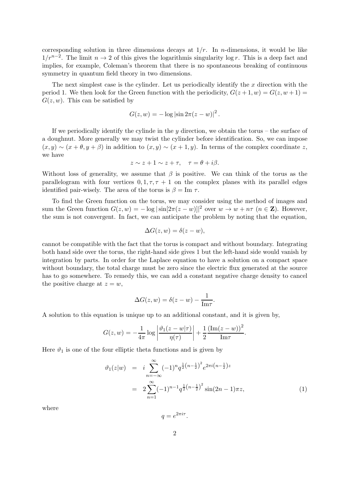corresponding solution in three dimensions decays at  $1/r$ . In *n*-dimensions, it would be like  $1/r^{n-2}$ . The limit  $n \to 2$  of this gives the logarithmis singularity log r. This is a deep fact and implies, for example, Coleman's theorem that there is no spontaneous breaking of continuous symmetry in quantum field theory in two dimensions.

The next simplest case is the cylinder. Let us periodically identify the  $x$  direction with the period 1. We then look for the Green function with the periodicity,  $G(z+1, w) = G(z, w+1) =$  $G(z, w)$ . This can be satisfied by

$$
G(z, w) = -\log|\sin 2\pi(z - w)|^2.
$$

If we periodically identify the cylinde in the  $y$  direction, we obtain the torus – the surface of a doughnut. More generally we may twist the cylinder before identification. So, we can impose  $(x, y) \sim (x + \theta, y + \beta)$  in addition to  $(x, y) \sim (x + 1, y)$ . In terms of the complex coordinate z, we have

$$
z \sim z + 1 \sim z + \tau, \quad \tau = \theta + i\beta.
$$

Without loss of generality, we assume that  $\beta$  is positive. We can think of the torus as the parallelogram with four vertices  $0, 1, \tau, \tau + 1$  on the complex planes with its parallel edges identified pair-wisely. The area of the torus is  $\beta = \text{Im } \tau$ .

To find the Green function on the torus, we may consider using the method of images and sum the Green function  $G(z, w) = -\log |\sin[2\pi(z - w)]|^2$  over  $w \to w + n\tau$   $(n \in \mathbb{Z})$ . However, the sum is not convergent. In fact, we can anticipate the problem by noting that the equation,

$$
\Delta G(z, w) = \delta(z - w),
$$

cannot be compatible with the fact that the torus is compact and without boundary. Integrating both hand side over the torus, the right-hand side gives 1 but the left-hand side would vanish by integration by parts. In order for the Laplace equation to have a solution on a compact space without boundary, the total charge must be zero since the electric flux generated at the source has to go somewhere. To remedy this, we can add a constant negative charge density to cancel the positive charge at  $z = w$ ,

$$
\Delta G(z, w) = \delta(z - w) - \frac{1}{\text{Im}\tau}
$$

A solution to this equation is unique up to an additional constant, and it is given by,

$$
G(z, w) = -\frac{1}{4\pi} \log \left| \frac{\vartheta_1(z - w|\tau)}{\eta(\tau)} \right| + \frac{1}{2} \frac{\left( \text{Im}(z - w)\right)^2}{\text{Im}\tau}.
$$

Here  $\vartheta_1$  is one of the four elliptic theta functions and is given by

$$
\vartheta_1(z|w) = i \sum_{n=-\infty}^{\infty} (-1)^n q^{\frac{1}{2}(n-\frac{1}{2})^2} e^{2\pi i (n-\frac{1}{2})z}
$$
  

$$
= 2 \sum_{n=1}^{\infty} (-1)^{n-1} q^{\frac{1}{2}(n-\frac{1}{2})^2} \sin(2n-1)\pi z,
$$
 (1)

.

where

 $q=e^{2\pi i\tau}.$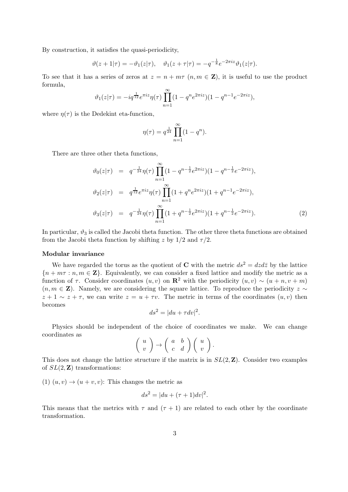By construction, it satisfies the quasi-periodicity,

$$
\vartheta(z+1|\tau) = -\vartheta_1(z|\tau), \quad \vartheta_1(z+\tau|\tau) = -q^{-\frac{1}{8}}e^{-2\pi iz}\vartheta_1(z|\tau).
$$

To see that it has a series of zeros at  $z = n + m\tau$   $(n, m \in \mathbb{Z})$ , it is useful to use the product formula,

$$
\vartheta_1(z|\tau) = -iq^{\frac{1}{12}}e^{\pi iz}\eta(\tau)\prod_{n=1}^{\infty}(1-q^n e^{2\pi iz})(1-q^{n-1}e^{-2\pi iz}),
$$

where  $\eta(\tau)$  is the Dedekint eta-function,

$$
\eta(\tau) = q^{\frac{1}{24}} \prod_{n=1}^{\infty} (1 - q^n).
$$

There are three other theta functions,

$$
\vartheta_0(z|\tau) = q^{-\frac{1}{24}} \eta(\tau) \prod_{n=1}^{\infty} (1 - q^{n - \frac{1}{2}} e^{2\pi i z}) (1 - q^{n - \frac{1}{2}} e^{-2\pi i z}),
$$
  
\n
$$
\vartheta_2(z|\tau) = q^{\frac{1}{12}} e^{\pi i z} \eta(\tau) \prod_{n=1}^{\infty} (1 + q^n e^{2\pi i z}) (1 + q^{n - 1} e^{-2\pi i z}),
$$
  
\n
$$
\vartheta_3(z|\tau) = q^{-\frac{1}{24}} \eta(\tau) \prod_{n=1}^{\infty} (1 + q^{n - \frac{1}{2}} e^{2\pi i z}) (1 + q^{n - \frac{1}{2}} e^{-2\pi i z}).
$$
\n(2)

In particular,  $\vartheta_3$  is called the Jacobi theta function. The other three theta functions are obtained from the Jacobi theta function by shifting z by  $1/2$  and  $\tau/2$ .

#### Modular invariance

We have regarded the torus as the quotient of C with the metric  $ds^2 = dz d\overline{z}$  by the lattice  ${n + m\tau : n, m \in \mathbf{Z}}$ . Equivalently, we can consider a fixed lattice and modify the metric as a function of  $\tau$ . Consider coordinates  $(u, v)$  on  $\mathbb{R}^2$  with the periodicity  $(u, v) \sim (u + n, v + m)$  $(n, m \in \mathbb{Z})$ . Namely, we are considering the square lattice. To reproduce the periodicity  $z \sim$  $z + 1 \sim z + \tau$ , we can write  $z = u + \tau v$ . The metric in terms of the coordinates  $(u, v)$  then becomes

$$
ds^2 = |du + \tau dv|^2.
$$

Physics should be independent of the choice of coordinates we make. We can change coordinates as

$$
\left(\begin{array}{c} u \\ v \end{array}\right) \rightarrow \left(\begin{array}{cc} a & b \\ c & d \end{array}\right) \left(\begin{array}{c} u \\ v \end{array}\right).
$$

This does not change the lattice structure if the matrix is in  $SL(2, \mathbb{Z})$ . Consider two examples of  $SL(2, \mathbb{Z})$  transformations:

(1)  $(u, v) \rightarrow (u + v, v)$ : This changes the metric as

$$
ds^{2} = |du + (\tau + 1)dv|^{2}.
$$

This means that the metrics with  $\tau$  and  $(\tau + 1)$  are related to each other by the coordinate transformation.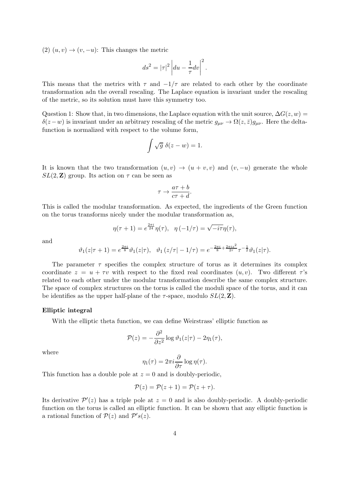(2)  $(u, v) \rightarrow (v, -u)$ : This changes the metric

$$
ds^2 = |\tau|^2 \left| du - \frac{1}{\tau} dv \right|^2.
$$

This means that the metrics with  $\tau$  and  $-1/\tau$  are related to each other by the coordinate transformation adn the overall rescaling. The Laplace equation is invariant under the rescaling of the metric, so its solution must have this symmetry too.

Question 1: Show that, in two dimensions, the Laplace equation with the unit source,  $\Delta G(z, w)$  =  $\delta(z-w)$  is invariant under an arbitrary rescaling of the metric  $g_{\mu\nu} \to \Omega(z,\bar{z})g_{\mu\nu}$ . Here the deltafunction is normalized with respect to the volume form,

$$
\int \sqrt{g} \ \delta(z - w) = 1.
$$

It is known that the two transformation  $(u, v) \rightarrow (u + v, v)$  and  $(v, -u)$  generate the whole  $SL(2, \mathbb{Z})$  group. Its action on  $\tau$  can be seen as

$$
\tau \to \frac{a\tau + b}{c\tau + d}.
$$

This is called the modular transformation. As expected, the ingredients of the Green function on the torus transforms nicely under the modular transformation as,

$$
\eta(\tau + 1) = e^{\frac{2\pi i}{24}} \eta(\tau), \quad \eta(-1/\tau) = \sqrt{-i\tau}\eta(\tau),
$$

and

$$
\vartheta_1(z|\tau+1) = e^{\frac{2\pi i}{8}} \vartheta_1(z|\tau), \quad \vartheta_1(z|\tau-1/\tau) = e^{-\frac{2\pi i}{8} + \frac{2\pi i z^2}{2\tau}} \tau^{-\frac{1}{2}} \vartheta_1(z|\tau).
$$

The parameter  $\tau$  specifies the complex structure of torus as it determines its complex coordinate  $z = u + \tau v$  with respect to the fixed real coordinates  $(u, v)$ . Two different  $\tau$ 's related to each other under the modular transformation describe the same complex structure. The space of complex structures on the torus is called the moduli space of the torus, and it can be identifies as the upper half-plane of the  $\tau$ -space, modulo  $SL(2, \mathbb{Z})$ .

# Elliptic integral

With the elliptic theta function, we can define Weirstrass' elliptic function as

$$
\mathcal{P}(z) = -\frac{\partial^2}{\partial z^2} \log \vartheta_1(z|\tau) - 2\eta_1(\tau),
$$

where

$$
\eta_1(\tau)=2\pi i\frac{\partial}{\partial\tau}\log\eta(\tau).
$$

This function has a double pole at  $z = 0$  and is doubly-periodic,

$$
\mathcal{P}(z) = \mathcal{P}(z+1) = \mathcal{P}(z+\tau).
$$

Its derivative  $\mathcal{P}'(z)$  has a triple pole at  $z = 0$  and is also doubly-periodic. A doubly-periodic function on the torus is called an elliptic function. It can be shown that any elliptic function is a rational function of  $P(z)$  and  $P's(z)$ .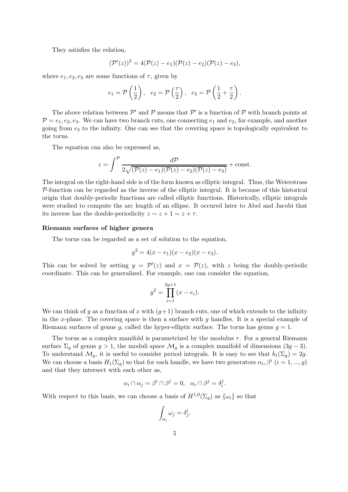They satisfies the relation,

$$
(\mathcal{P}'(z))^2=4(\mathcal{P}(z)-e_1)(\mathcal{P}(z)-e_2)(\mathcal{P}(z)-e_3),
$$

where  $e_1, e_2, e_3$  are some functions of  $\tau$ , given by

$$
e_1 = \mathcal{P}\left(\frac{1}{2}\right), e_2 = \mathcal{P}\left(\frac{\tau}{2}\right), e_3 = \mathcal{P}\left(\frac{1}{2} + \frac{\tau}{2}\right).
$$

The above relation between  $\mathcal{P}'$  and  $\mathcal{P}$  means that  $\mathcal{P}'$  is a function of  $\mathcal{P}$  with branch points at  $P = e_1, e_2, e_3$ . We can have two branch cuts, one connecting  $e_1$  and  $e_2$ , for example, and another going from  $e_3$  to the infinity. One can see that the covering space is topologically equivalent to the torus.

The equation can also be expressed as,

$$
z = \int^{\mathcal{P}} \frac{d\mathcal{P}}{2\sqrt{(\mathcal{P}(z) - e_1)(\mathcal{P}(z) - e_2)(\mathcal{P}(z) - e_3)}} + \text{const.}
$$

The integral on the right-hand side is of the form known as elliptic integral. Thus, the Weierstrass  $\mathcal{P}$ -function can be regarded as the inverse of the elliptic integral. It is because of this historical origin that doubly-periodic functions are called elliptic functions. Historically, elliptic integrals were studied to compute the arc length of an ellipse. It occured later to Abel and Jacobi that its inverse has the double-periodicity  $z \sim z + 1 \sim z + \tau$ .

# Riemann surfaces of higher genera

The torus can be regarded as a set of solution to the equation,

$$
y^2 = 4(x - e_1)(x - e_2)(x - e_3).
$$

This can be solved by setting  $y = \mathcal{P}'(z)$  and  $x = \mathcal{P}(z)$ , with z being the doubly-periodic coordinate. This can be generalized. For example, one can consider the equation,

$$
y^2 = \prod_{i=1}^{2g+1} (x - e_i).
$$

We can think of y as a function of x with  $(q+1)$  branch cuts, one of which extends to the infinity in the x-plane. The covering space is then a surface with q handles. It is a special example of Riemann surfaces of genus g, called the hyper-elliptic surface. The torus has genus  $g = 1$ .

The torus as a complex manifold is parametrized by the modulus  $\tau$ . For a general Riemann surface  $\Sigma_g$  of genus  $g > 1$ , the moduli space  $\mathcal{M}_g$  is a complex manifold of dimensions  $(3g - 3)$ . To understand  $\mathcal{M}_q$ , it is useful to consider period integrals. It is easy to see that  $b_1(\Sigma_q) = 2g$ . We can choose a basis  $H_1(\Sigma_g)$  so that for each handle, we have two generators  $\alpha_i, \beta^i$   $(i = 1, ..., g)$ and that they intersect with each other as,

$$
\alpha_i \cap \alpha_j = \beta^i \cap \beta^j = 0, \ \ \alpha_i \cap \beta^j = \delta_i^j.
$$

With respect to this basis, we can choose a basis of  $H^{1,0}(\Sigma_g)$  as  $\{\omega_i\}$  so that

$$
\int_{\alpha_i} \omega_j = \delta_j^i.
$$